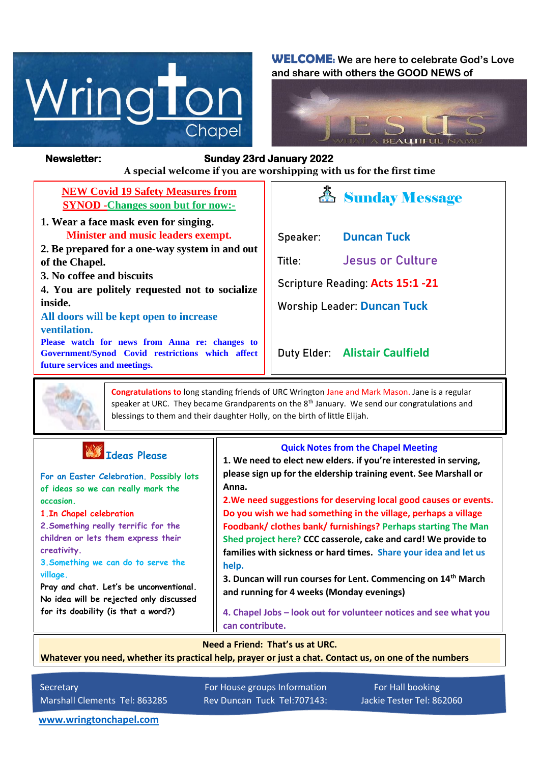

**WELCOME: We are here to celebrate God's Love and share with others the GOOD NEWS of**



### **Newsletter: Sunday 23rd January 2022**

*Figure 1ready steady* **A special welcome if you are worshipping with us for the first time**

| <b>NEW Covid 19 Safety Measures from</b>  |
|-------------------------------------------|
| <b>SYNOD</b> - Changes soon but for now:- |

- **1. Wear a face mask even for singing. Minister and music leaders exempt.**
- **2. Be prepared for a one-way system in and out of the Chapel.**
- **3. No coffee and biscuits**

**4. You are politely requested not to socialize inside.**

**All doors will be kept open to increase ventilation.**

**Please watch for news from Anna re: changes to Government/Synod Covid restrictions which affect future services and meetings.**



**Speaker: Duncan Tuck**

**Title: Jesus or Culture**

**Scripture Reading: Acts 15:1 -21**

**Worship Leader: Duncan Tuck**

**Duty Elder: Alistair Caulfield**



**Congratulations to** long standing friends of URC Wrington Jane and Mark Mason. Jane is a regular speaker at URC. They became Grandparents on the 8<sup>th</sup> January. We send our congratulations and blessings to them and their daughter Holly, on the birth of little Elijah.

|  | Tdeas Please |
|--|--------------|
|  |              |

 **For an Easter Celebration. Possibly lots of ideas so we can really mark the occasion.**

**1.In Chapel celebration**

**2.Something really terrific for the children or lets them express their creativity.**

**3.Something we can do to serve the village.**

**Pray and chat. Let's be unconventional. No idea will be rejected only discussed for its doability (is that a word?)**

#### **Quick Notes from the Chapel Meeting**

**1. We need to elect new elders. if you're interested in serving, please sign up for the eldership training event. See Marshall or Anna.**

**2.We need suggestions for deserving local good causes or events. Do you wish we had something in the village, perhaps a village Foodbank/ clothes bank/ furnishings? Perhaps starting The Man Shed project here? CCC casserole, cake and card! We provide to families with sickness or hard times. Share your idea and let us help.**

**3. Duncan will run courses for Lent. Commencing on 14th March and running for 4 weeks (Monday evenings)**

**4. Chapel Jobs – look out for volunteer notices and see what you can contribute.**

**Need a Friend: That's us at URC.**

**Whatever you need, whether its practical help, prayer or just a chat. Contact us, on one of the numbers** 

**below.**

Secretary For House groups Information For Hall booking Marshall Clements Tel: 863285 Rev Duncan Tuck Tel:707143: Jackie Tester Tel: 862060

**[www.wringtonchapel.com](http://www.wringtonchapel.com/)**